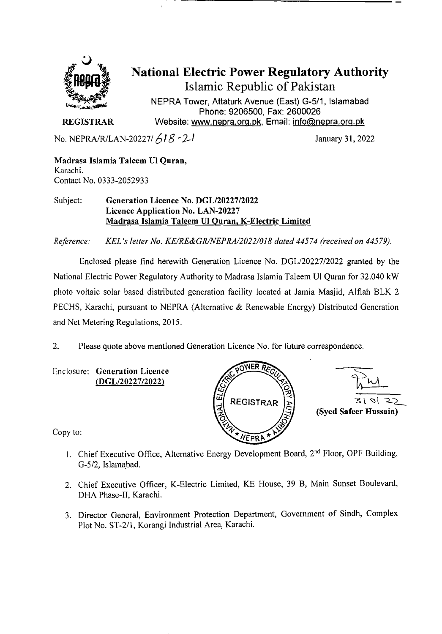

# **National Electric Power Regulatory Authority Islamic Republic of Pakistan**

**NEPRA Tower, Attaturk Avenue (East) G-511, Islamabad Phone: 9206500, Fax: 2600026 REGISTRAR** Website: www.nepra.org.pk, Email: info@nepra.org.pk

No. NEPRA/R/LAN-20227/  $618 - 2-1$  January 31, 2022

Madrasa Islamia **Taleem** UI Quran, Karachi. Contact No. 0333-2052933

### Subject: Generation Licence No. *DGL12022712022*  Licence Application No. LAN-20227 Madrasa Islarnia **Taleem** UI Ouran, K-Electric Limited

*Reference. KEL 's letter No. KE/RE&GR/NEPRA/2022/018 dated 44574 (received on 445 79.* 

Enclosed please find herewith Generation Licence No. DGL/20227/2022 granted by the National Electric Power Regulatory Authority to Madrasa Islamia Taleem UI Quran for 32.040 kW photo voltaic solar based distributed generation facility located at Jamia Masjid, Alflah BLK 2 PECHS, Karachi, pursuant to NEPRA (Alternative & Renewable Energy) Distributed Generation and Net Metering Regulations, 2015.

2. Please quote above mentioned Generation Licence No. for future correspondence.

Enclosure: Generation Licence *(DGL120227/2022)* 



 $\frac{1}{310122}$ **(Syed Safeer Hussain)** 

Copy to:

- 1. Chief Executive Office, Alternative Energy Development Board, 2nd Floor, OPF Building, (3-5/2, Islamabad.
- 2. Chief Executive Officer, K-Electric Limited, KE House, 39 B, Main Sunset Boulevard, DHA Phase-Il, Karachi.
- 3. Director General, Environment Protection Department, Government of Sindh, Complex Plot No. *ST-211,* Korangi Industrial Area, Karachi.